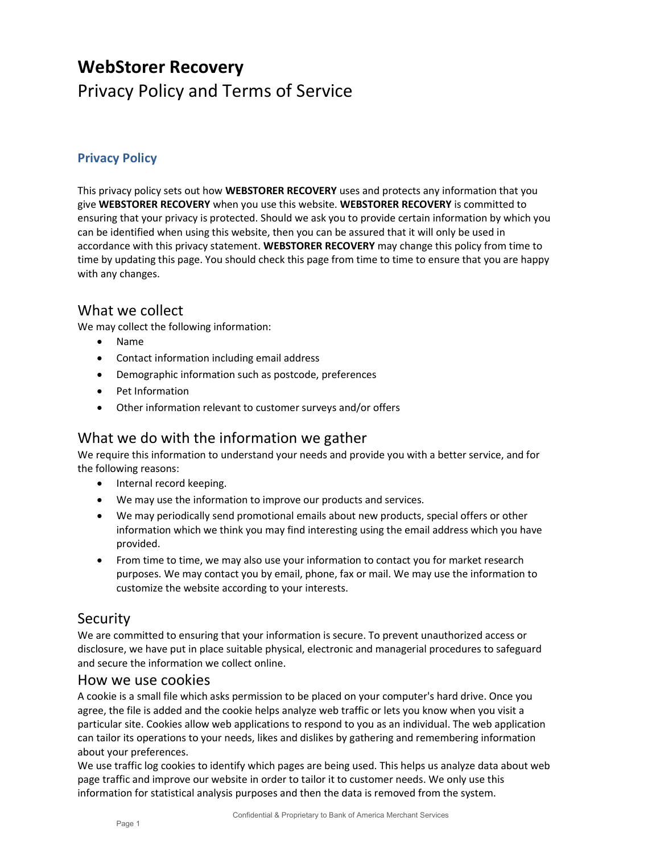# WebStorer Recovery Privacy Policy and Terms of Service

### Privacy Policy

This privacy policy sets out how WEBSTORER RECOVERY uses and protects any information that you give WEBSTORER RECOVERY when you use this website. WEBSTORER RECOVERY is committed to ensuring that your privacy is protected. Should we ask you to provide certain information by which you can be identified when using this website, then you can be assured that it will only be used in accordance with this privacy statement. WEBSTORER RECOVERY may change this policy from time to time by updating this page. You should check this page from time to time to ensure that you are happy with any changes.

### What we collect

We may collect the following information:

- Name
- Contact information including email address
- Demographic information such as postcode, preferences
- Pet Information
- Other information relevant to customer surveys and/or offers

### What we do with the information we gather

We require this information to understand your needs and provide you with a better service, and for the following reasons:

- Internal record keeping.
- We may use the information to improve our products and services.
- We may periodically send promotional emails about new products, special offers or other information which we think you may find interesting using the email address which you have provided.
- From time to time, we may also use your information to contact you for market research purposes. We may contact you by email, phone, fax or mail. We may use the information to customize the website according to your interests.

### Security

We are committed to ensuring that your information is secure. To prevent unauthorized access or disclosure, we have put in place suitable physical, electronic and managerial procedures to safeguard and secure the information we collect online.

#### How we use cookies

A cookie is a small file which asks permission to be placed on your computer's hard drive. Once you agree, the file is added and the cookie helps analyze web traffic or lets you know when you visit a particular site. Cookies allow web applications to respond to you as an individual. The web application can tailor its operations to your needs, likes and dislikes by gathering and remembering information about your preferences.

We use traffic log cookies to identify which pages are being used. This helps us analyze data about web page traffic and improve our website in order to tailor it to customer needs. We only use this information for statistical analysis purposes and then the data is removed from the system.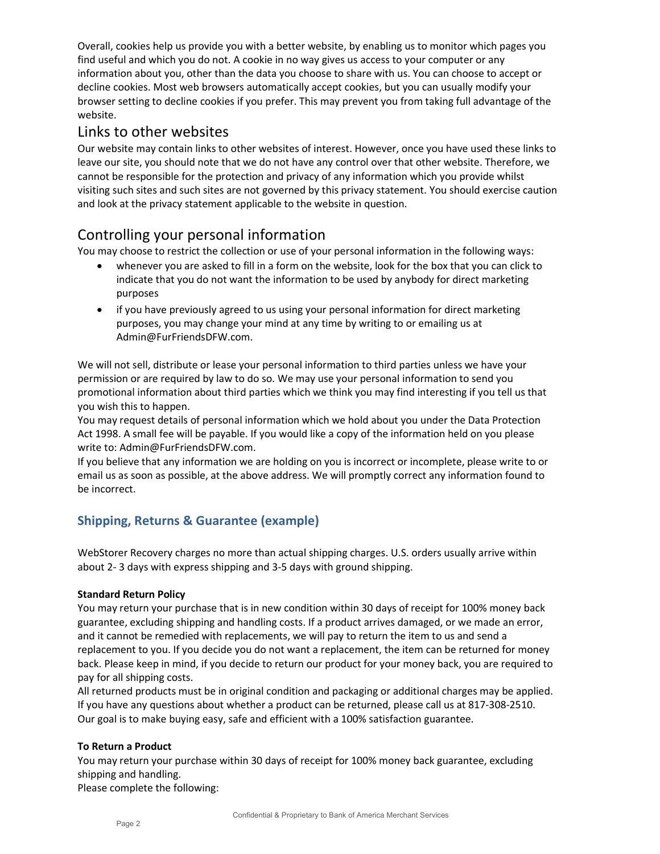Overall, cookies help us provide you with a better website, by enabling us to monitor which pages you find useful and which you do not. A cookie in no way gives us access to your computer or any information about you, other than the data you choose to share with us. You can choose to accept or decline cookies. Most web browsers automatically accept cookies, but you can usually modify your browser setting to decline cookies if you prefer. This may prevent you from taking full advantage of the website.

### Links to other websites

Our website may contain links to other websites of interest. However, once you have used these links to leave our site, you should note that we do not have any control over that other website. Therefore, we cannot be responsible for the protection and privacy of any information which you provide whilst visiting such sites and such sites are not governed by this privacy statement. You should exercise caution and look at the privacy statement applicable to the website in question.

### Controlling your personal information

You may choose to restrict the collection or use of your personal information in the following ways:

- whenever you are asked to fill in a form on the website, look for the box that you can click to indicate that you do not want the information to be used by anybody for direct marketing purposes
- if you have previously agreed to us using your personal information for direct marketing purposes, you may change your mind at any time by writing to or emailing us at Admin@FurFriendsDFW.com.

We will not sell, distribute or lease your personal information to third parties unless we have your permission or are required by law to do so. We may use your personal information to send you promotional information about third parties which we think you may find interesting if you tell us that you wish this to happen.

You may request details of personal information which we hold about you under the Data Protection Act 1998. A small fee will be payable. If you would like a copy of the information held on you please write to: Admin@FurFriendsDFW.com.

If you believe that any information we are holding on you is incorrect or incomplete, please write to or email us as soon as possible, at the above address. We will promptly correct any information found to be incorrect.

### Shipping, Returns & Guarantee (example)

WebStorer Recovery charges no more than actual shipping charges. U.S. orders usually arrive within about 2- 3 days with express shipping and 3-5 days with ground shipping.

#### Standard Return Policy

You may return your purchase that is in new condition within 30 days of receipt for 100% money back guarantee, excluding shipping and handling costs. If a product arrives damaged, or we made an error, and it cannot be remedied with replacements, we will pay to return the item to us and send a replacement to you. If you decide you do not want a replacement, the item can be returned for money back. Please keep in mind, if you decide to return our product for your money back, you are required to pay for all shipping costs.

All returned products must be in original condition and packaging or additional charges may be applied. If you have any questions about whether a product can be returned, please call us at 817-308-2510. Our goal is to make buying easy, safe and efficient with a 100% satisfaction guarantee.

#### To Return a Product

You may return your purchase within 30 days of receipt for 100% money back guarantee, excluding shipping and handling.

Please complete the following: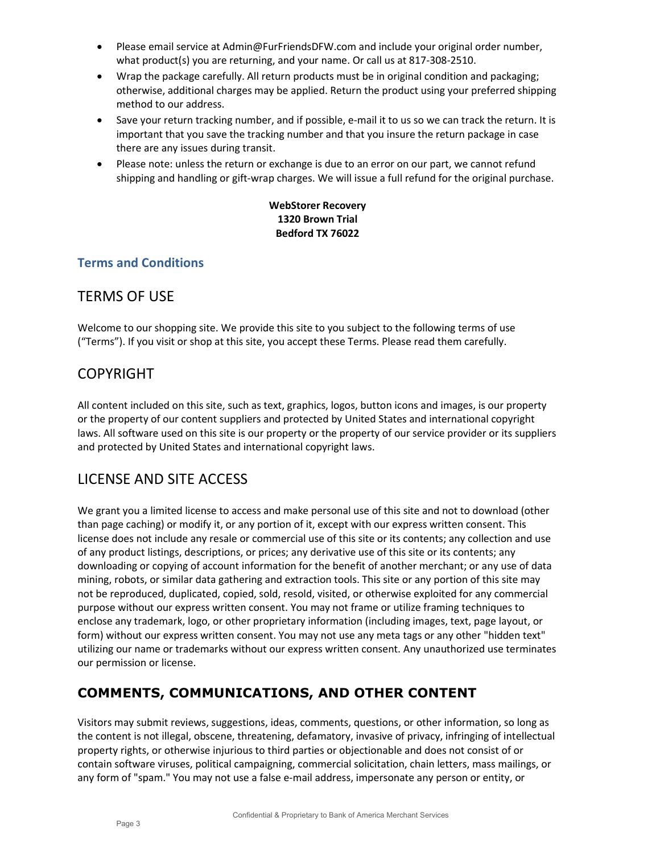- Please email service at Admin@FurFriendsDFW.com and include your original order number, what product(s) you are returning, and your name. Or call us at 817-308-2510.
- Wrap the package carefully. All return products must be in original condition and packaging; otherwise, additional charges may be applied. Return the product using your preferred shipping method to our address.
- Save your return tracking number, and if possible, e-mail it to us so we can track the return. It is important that you save the tracking number and that you insure the return package in case there are any issues during transit.
- Please note: unless the return or exchange is due to an error on our part, we cannot refund shipping and handling or gift-wrap charges. We will issue a full refund for the original purchase.

#### WebStorer Recovery 1320 Brown Trial Bedford TX 76022

#### Terms and Conditions

### TERMS OF USE

Welcome to our shopping site. We provide this site to you subject to the following terms of use ("Terms"). If you visit or shop at this site, you accept these Terms. Please read them carefully.

### COPYRIGHT

All content included on this site, such as text, graphics, logos, button icons and images, is our property or the property of our content suppliers and protected by United States and international copyright laws. All software used on this site is our property or the property of our service provider or its suppliers and protected by United States and international copyright laws.

# LICENSE AND SITE ACCESS

We grant you a limited license to access and make personal use of this site and not to download (other than page caching) or modify it, or any portion of it, except with our express written consent. This license does not include any resale or commercial use of this site or its contents; any collection and use of any product listings, descriptions, or prices; any derivative use of this site or its contents; any downloading or copying of account information for the benefit of another merchant; or any use of data mining, robots, or similar data gathering and extraction tools. This site or any portion of this site may not be reproduced, duplicated, copied, sold, resold, visited, or otherwise exploited for any commercial purpose without our express written consent. You may not frame or utilize framing techniques to enclose any trademark, logo, or other proprietary information (including images, text, page layout, or form) without our express written consent. You may not use any meta tags or any other "hidden text" utilizing our name or trademarks without our express written consent. Any unauthorized use terminates our permission or license.

# COMMENTS, COMMUNICATIONS, AND OTHER CONTENT

Visitors may submit reviews, suggestions, ideas, comments, questions, or other information, so long as the content is not illegal, obscene, threatening, defamatory, invasive of privacy, infringing of intellectual property rights, or otherwise injurious to third parties or objectionable and does not consist of or contain software viruses, political campaigning, commercial solicitation, chain letters, mass mailings, or any form of "spam." You may not use a false e-mail address, impersonate any person or entity, or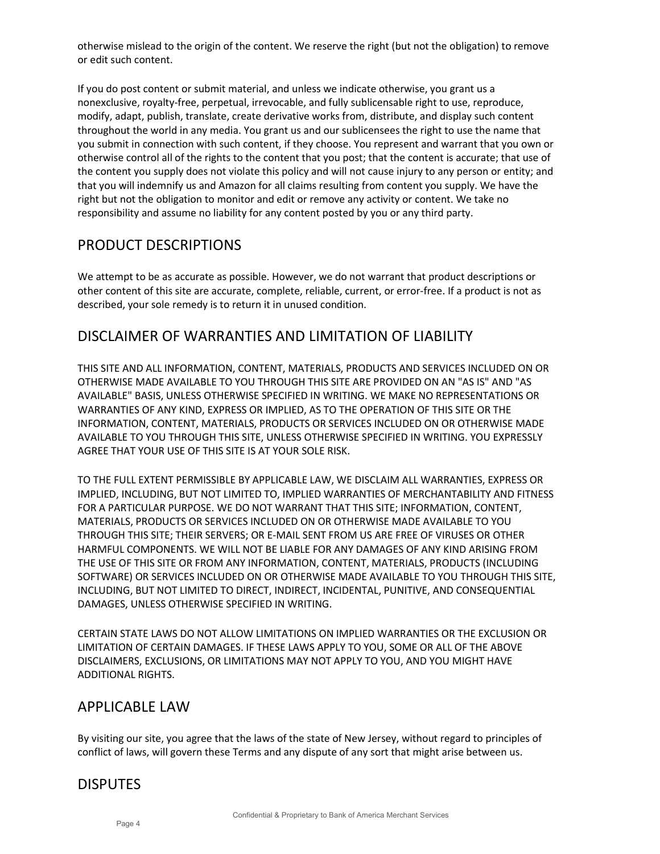otherwise mislead to the origin of the content. We reserve the right (but not the obligation) to remove or edit such content.

If you do post content or submit material, and unless we indicate otherwise, you grant us a nonexclusive, royalty-free, perpetual, irrevocable, and fully sublicensable right to use, reproduce, modify, adapt, publish, translate, create derivative works from, distribute, and display such content throughout the world in any media. You grant us and our sublicensees the right to use the name that you submit in connection with such content, if they choose. You represent and warrant that you own or otherwise control all of the rights to the content that you post; that the content is accurate; that use of the content you supply does not violate this policy and will not cause injury to any person or entity; and that you will indemnify us and Amazon for all claims resulting from content you supply. We have the right but not the obligation to monitor and edit or remove any activity or content. We take no responsibility and assume no liability for any content posted by you or any third party.

# PRODUCT DESCRIPTIONS

We attempt to be as accurate as possible. However, we do not warrant that product descriptions or other content of this site are accurate, complete, reliable, current, or error-free. If a product is not as described, your sole remedy is to return it in unused condition.

### DISCLAIMER OF WARRANTIES AND LIMITATION OF LIABILITY

THIS SITE AND ALL INFORMATION, CONTENT, MATERIALS, PRODUCTS AND SERVICES INCLUDED ON OR OTHERWISE MADE AVAILABLE TO YOU THROUGH THIS SITE ARE PROVIDED ON AN "AS IS" AND "AS AVAILABLE" BASIS, UNLESS OTHERWISE SPECIFIED IN WRITING. WE MAKE NO REPRESENTATIONS OR WARRANTIES OF ANY KIND, EXPRESS OR IMPLIED, AS TO THE OPERATION OF THIS SITE OR THE INFORMATION, CONTENT, MATERIALS, PRODUCTS OR SERVICES INCLUDED ON OR OTHERWISE MADE AVAILABLE TO YOU THROUGH THIS SITE, UNLESS OTHERWISE SPECIFIED IN WRITING. YOU EXPRESSLY AGREE THAT YOUR USE OF THIS SITE IS AT YOUR SOLE RISK.

TO THE FULL EXTENT PERMISSIBLE BY APPLICABLE LAW, WE DISCLAIM ALL WARRANTIES, EXPRESS OR IMPLIED, INCLUDING, BUT NOT LIMITED TO, IMPLIED WARRANTIES OF MERCHANTABILITY AND FITNESS FOR A PARTICULAR PURPOSE. WE DO NOT WARRANT THAT THIS SITE; INFORMATION, CONTENT, MATERIALS, PRODUCTS OR SERVICES INCLUDED ON OR OTHERWISE MADE AVAILABLE TO YOU THROUGH THIS SITE; THEIR SERVERS; OR E-MAIL SENT FROM US ARE FREE OF VIRUSES OR OTHER HARMFUL COMPONENTS. WE WILL NOT BE LIABLE FOR ANY DAMAGES OF ANY KIND ARISING FROM THE USE OF THIS SITE OR FROM ANY INFORMATION, CONTENT, MATERIALS, PRODUCTS (INCLUDING SOFTWARE) OR SERVICES INCLUDED ON OR OTHERWISE MADE AVAILABLE TO YOU THROUGH THIS SITE, INCLUDING, BUT NOT LIMITED TO DIRECT, INDIRECT, INCIDENTAL, PUNITIVE, AND CONSEQUENTIAL DAMAGES, UNLESS OTHERWISE SPECIFIED IN WRITING.

CERTAIN STATE LAWS DO NOT ALLOW LIMITATIONS ON IMPLIED WARRANTIES OR THE EXCLUSION OR LIMITATION OF CERTAIN DAMAGES. IF THESE LAWS APPLY TO YOU, SOME OR ALL OF THE ABOVE DISCLAIMERS, EXCLUSIONS, OR LIMITATIONS MAY NOT APPLY TO YOU, AND YOU MIGHT HAVE ADDITIONAL RIGHTS.

### APPLICABLE LAW

By visiting our site, you agree that the laws of the state of New Jersey, without regard to principles of conflict of laws, will govern these Terms and any dispute of any sort that might arise between us.

### DISPUTES